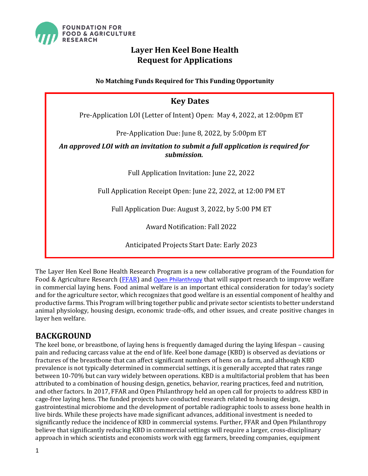

# **Layer Hen Keel Bone Health Request for Applications**

**No Matching Funds Required for This Funding Opportunity**

## **Key Dates**

<span id="page-0-0"></span>Pre-Application LOI (Letter of Intent) Open: May 4, 2022, at 12:00pm ET

Pre-Application Due: June 8, 2022, by 5:00pm ET

### *An approved LOI with an invitation to submit a full application is required for submission.*

Full Application Invitation: June 22, 2022

Full Application Receipt Open: June 22, 2022, at 12:00 PM ET

Full Application Due: August 3, 2022, by 5:00 PM ET

Award Notification: Fall 2022

Anticipated Projects Start Date: Early 2023

The Layer Hen Keel Bone Health Research Program is a new collaborative program of the Foundation for Food & Agriculture Research [\(FFAR\)](https://foundationfar.org/) and [Open Philanthropy](https://www.openphilanthropy.org/) that will support research to improve welfare in commercial laying hens. Food animal welfare is an important ethical consideration for today's society and for the agriculture sector, which recognizes that good welfare is an essential component of healthy and productive farms. This Program will bring together public and private sector scientists to better understand animal physiology, housing design, economic trade-offs, and other issues, and create positive changes in layer hen welfare.

## **BACKGROUND**

The keel bone, or breastbone, of laying hens is frequently damaged during the laying lifespan – causing pain and reducing carcass value at the end of life. Keel bone damage (KBD) is observed as deviations or fractures of the breastbone that can affect significant numbers of hens on a farm, and although KBD prevalence is not typically determined in commercial settings, it is generally accepted that rates range between 10-70% but can vary widely between operations. KBD is a multifactorial problem that has been attributed to a combination of housing design, genetics, behavior, rearing practices, feed and nutrition, and other factors. In 2017, FFAR and Open Philanthropy held an open call for projects to address KBD in cage-free laying hens. The funded projects have conducted research related to housing design, gastrointestinal microbiome and the development of portable radiographic tools to assess bone health in live birds. While these projects have made significant advances, additional investment is needed to significantly reduce the incidence of KBD in commercial systems. Further, FFAR and Open Philanthropy believe that significantly reducing KBD in commercial settings will require a larger, cross-disciplinary approach in which scientists and economists work with egg farmers, breeding companies, equipment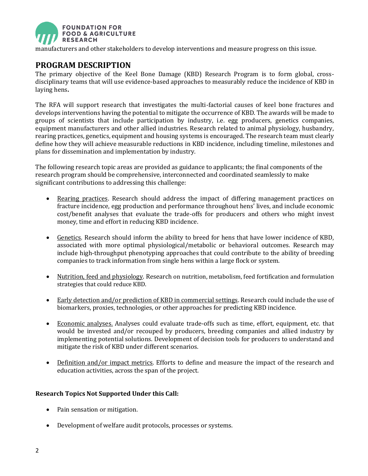

manufacturers and other stakeholders to develop interventions and measure progress on this issue.

# **PROGRAM DESCRIPTION**

The primary objective of the Keel Bone Damage (KBD) Research Program is to form global, crossdisciplinary teams that will use evidence-based approaches to measurably reduce the incidence of KBD in laying hens**.**

The RFA will support research that investigates the multi-factorial causes of keel bone fractures and develops interventions having the potential to mitigate the occurrence of KBD. The awards will be made to groups of scientists that include participation by industry, i.e. egg producers, genetics companies, equipment manufacturers and other allied industries. Research related to animal physiology, husbandry, rearing practices, genetics, equipment and housing systems is encouraged. The research team must clearly define how they will achieve measurable reductions in KBD incidence, including timeline, milestones and plans for dissemination and implementation by industry.

The following research topic areas are provided as guidance to applicants; the final components of the research program should be comprehensive, interconnected and coordinated seamlessly to make significant contributions to addressing this challenge:

- Rearing practices. Research should address the impact of differing management practices on fracture incidence, egg production and performance throughout hens' lives, and include economic cost/benefit analyses that evaluate the trade-offs for producers and others who might invest money, time and effort in reducing KBD incidence.
- Genetics. Research should inform the ability to breed for hens that have lower incidence of KBD, associated with more optimal physiological/metabolic or behavioral outcomes. Research may include high-throughput phenotyping approaches that could contribute to the ability of breeding companies to track information from single hens within a large flock or system.
- Nutrition, feed and physiology. Research on nutrition, metabolism, feed fortification and formulation strategies that could reduce KBD.
- Early detection and/or prediction of KBD in commercial settings. Research could include the use of biomarkers, proxies, technologies, or other approaches for predicting KBD incidence.
- Economic analyses. Analyses could evaluate trade-offs such as time, effort, equipment, etc. that would be invested and/or recouped by producers, breeding companies and allied industry by implementing potential solutions. Development of decision tools for producers to understand and mitigate the risk of KBD under different scenarios.
- Definition and/or impact metrics. Efforts to define and measure the impact of the research and education activities, across the span of the project.

#### **Research Topics Not Supported Under this Call:**

- Pain sensation or mitigation.
- Development of welfare audit protocols, processes or systems.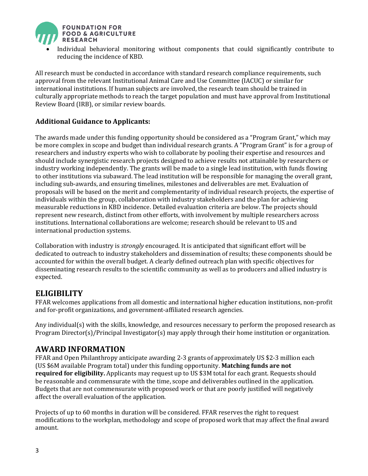

• Individual behavioral monitoring without components that could significantly contribute to reducing the incidence of KBD.

All research must be conducted in accordance with standard research compliance requirements, such approval from the relevant Institutional Animal Care and Use Committee (IACUC) or similar for international institutions. If human subjects are involved, the research team should be trained in culturally appropriate methods to reach the target population and must have approval from Institutional Review Board (IRB), or similar review boards.

### **Additional Guidance to Applicants:**

The awards made under this funding opportunity should be considered as a "Program Grant," which may be more complex in scope and budget than individual research grants. A "Program Grant" is for a group of researchers and industry experts who wish to collaborate by pooling their expertise and resources and should include synergistic research projects designed to achieve results not attainable by researchers or industry working independently. The grants will be made to a single lead institution, with funds flowing to other institutions via subaward. The lead institution will be responsible for managing the overall grant, including sub-awards, and ensuring timelines, milestones and deliverables are met. Evaluation of proposals will be based on the merit and complementarity of individual research projects, the expertise of individuals within the group, collaboration with industry stakeholders and the plan for achieving measurable reductions in KBD incidence. Detailed evaluation criteria are below. The projects should represent new research, distinct from other efforts, with involvement by multiple researchers across institutions. International collaborations are welcome; research should be relevant to US and international production systems.

Collaboration with industry is *strongly* encouraged. It is anticipated that significant effort will be dedicated to outreach to industry stakeholders and dissemination of results; these components should be accounted for within the overall budget. A clearly defined outreach plan with specific objectives for disseminating research results to the scientific community as well as to producers and allied industry is expected.

## **ELIGIBILITY**

FFAR welcomes applications from all domestic and international higher education institutions, non-profit and for-profit organizations, and government-affiliated research agencies.

Any individual(s) with the skills, knowledge, and resources necessary to perform the proposed research as Program Director(s)/Principal Investigator(s) may apply through their home institution or organization.

## **AWARD INFORMATION**

FFAR and Open Philanthropy anticipate awarding 2-3 grants of approximately US \$2-3 million each (US \$6M available Program total) under this funding opportunity. **Matching funds are not required for eligibility.** Applicants may request up to US \$3M total for each grant. Requests should be reasonable and commensurate with the time, scope and deliverables outlined in the application. Budgets that are not commensurate with proposed work or that are poorly justified will negatively affect the overall evaluation of the application.

Projects of up to 60 months in duration will be considered. FFAR reserves the right to request modifications to the workplan, methodology and scope of proposed work that may affect the final award amount.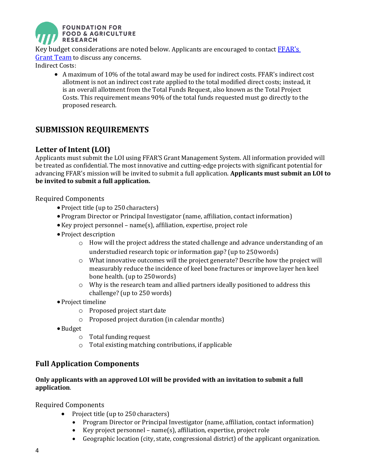

Key budget considerations are noted below. Applicants are encouraged to contact FFAR's [Grant Team](mailto:grants@foundationfar.org) to discuss any concerns. Indirect Costs:

• A maximum of 10% of the total award may be used for indirect costs. FFAR's indirect cost allotment is not an indirect cost rate applied to the total modified direct costs; instead, it is an overall allotment from the Total Funds Request, also known as the Total Project Costs. This requirement means 90% of the total funds requested must go directly to the proposed research.

## **SUBMISSION REQUIREMENTS**

## **Letter of Intent (LOI)**

Applicants must submit the LOI using FFAR'S Grant Management System. All information provided will be treated as confidential. The most innovative and cutting-edge projects with significant potential for advancing FFAR's mission will be invited to submit a full application. **Applicants must submit an LOI to be invited to submit a full application.** 

Required Components

- Project title (up to 250 characters)
- Program Director or Principal Investigator (name, affiliation, contact information)
- •Key project personnel name(s), affiliation, expertise, project role
- Project description
	- $\circ$  How will the project address the stated challenge and advance understanding of an understudied research topic or information gap? (up to 250words)
	- $\circ$  What innovative outcomes will the project generate? Describe how the project will measurably reduce the incidence of keel bone fractures or improve layer hen keel bone health. (up to 250words)
	- o Why is the research team and allied partners ideally positioned to address this challenge? (up to 250 words)
- Project timeline
	- o Proposed project start date
	- o Proposed project duration (in calendar months)
- •Budget
	- o Total funding request
	- o Total existing matching contributions, if applicable

## **Full Application Components**

### **Only applicants with an approved LOI will be provided with an invitation to submit a full application**.

Required Components

- Project title (up to 250 characters)
	- Program Director or Principal Investigator (name, affiliation, contact information)
	- Key project personnel name(s), affiliation, expertise, project role
	- Geographic location (city, state, congressional district) of the applicant organization.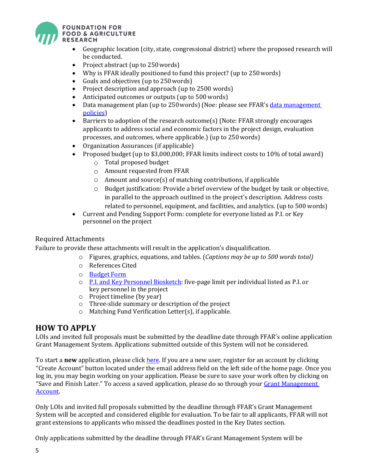

- Geographic location (city, state, congressional district) where the proposed research will be conducted.
- Project abstract (up to 250 words)
- Why is FFAR ideally positioned to fund this project? (up to 250words)
- Goals and objectives (up to 250words)
- Project description and approach (up to 2500 words)
- Anticipated outcomes or outputs (up to 500 words)
- Data management plan (up to 250 words) (Noe: please see FFAR's data management [policies\)](https://foundationfar.org/grants-funding/resources/grant-policies-procedures/)
- Barriers to adoption of the research outcome(s) (Note: FFAR strongly encourages applicants to address social and economic factors in the project design, evaluation processes, and outcomes, where applicable.) (up to 250words)
- Organization Assurances (if applicable)
- Proposed budget (up to \$3,000,000; FFAR limits indirect costs to 10% of total award)
	- o Total proposed budget
	- o Amount requested from FFAR
	- $\circ$  Amount and source(s) of matching contributions, if applicable
	- $\circ$  Budget justification: Provide a brief overview of the budget by task or objective, in parallel to the approach outlined in the project's description. Address costs related to personnel, equipment, and facilities, and analytics. (up to 500 words)
- Current and Pending Support Form: complete for everyone listed as P.I. or Key personnel on the project

### Required Attachments

Failure to provide these attachments will result in the application's disqualification.

- o Figures, graphics, equations, and tables. (*Captions may be up to 500 words total)*
- o References Cited
- o [Budget](http://foundationfar.org/grants/applicant-resources/sample-forms/) Form
- o [P.I. and Key Personnel Biosketch:](http://foundationfar.org/grants/applicant-resources/biosketch-instructions/) five-page limit per individual listed as P.I. or key personnel in the project
- o Project timeline (by year)
- o Three-slide summary or description of the project
- o Matching Fund Verification Letter(s), if applicable.

## **HOW TO APPLY**

LOIs and invited full proposals must be submitted by the deadline date through FFAR's online application Grant Management System. Applications submitted outside of this System will not be considered.

To start a **new** application, please click [here](https://www.grantrequest.com/SID_6242?SA=SNA&FID=35081). If you are a new user, register for an account by clicking "Create Account" button located under the email address field on the left side of the home page. Once you log in, you may begin working on your application. Please be sure to save your work often by clicking on "Save and Finish Later." To access a saved application, please do so through your Grant Management [Account.](https://www.grantrequest.com/SID_6242)

Only LOIs and invited full proposals submitted by the deadline through FFAR's Grant Management System will be accepted and considered eligible for evaluation. To be fair to all applicants, FFAR will not grant extensions to applicants who missed the deadlines posted in the Key Dates section.

Only applications submitted by the deadline through FFAR's Grant Management System will be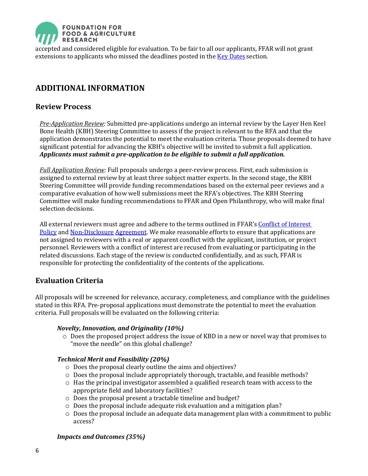

accepted and considered eligible for evaluation. To be fair to all our applicants, FFAR will not grant extensions to applicants who missed the deadlines posted in the **Key Dates** section.

# **ADDITIONAL INFORMATION**

### **Review Process**

*Pre-Application Review:* Submitted pre-applications undergo an internal review by the Layer Hen Keel Bone Health (KBH) Steering Committee to assess if the project is relevant to the RFA and that the application demonstrates the potential to meet the evaluation criteria. Those proposals deemed to have significant potential for advancing the KBH's objective will be invited to submit a full application. *Applicants must submit a pre-application to be eligible to submit a full application.*

*Full Application Review:* Full proposals undergo a peer-review process. First, each submission is assigned to external review by at least three subject matter experts. In the second stage, the KBH Steering Committee will provide funding recommendations based on the external peer reviews and a comparative evaluation of how well submissions meet the RFA's objectives. The KBH Steering Committee will make funding recommendations to FFAR and Open Philanthropy, who will make final selection decisions.

All external reviewers must agree and adhere to the terms outlined in FFAR's [Conflict of Interest](http://foundationfar.org/grants/reviewer-resources/conflict-of-interest/)  [Policy](http://foundationfar.org/grants/reviewer-resources/conflict-of-interest/) and [Non-Disclosure](http://foundationfar.org/grants/reviewer-resources/non-disclosure/) [Agreement.](http://foundationfar.org/grants/reviewer-resources/non-disclosure/) We make reasonable efforts to ensure that applications are not assigned to reviewers with a real or apparent conflict with the applicant, institution, or project personnel. Reviewers with a conflict of interest are recused from evaluating or participating in the related discussions. Each stage of the review is conducted confidentially, and as such, FFAR is responsible for protecting the confidentiality of the contents of the applications.

## **Evaluation Criteria**

All proposals will be screened for relevance, accuracy, completeness, and compliance with the guidelines stated in this RFA. Pre-proposal applications must demonstrate the potential to meet the evaluation criteria. Full proposals will be evaluated on the following criteria:

#### *Novelty, Innovation, and Originality (10%)*

o Does the proposed project address the issue of KBD in a new or novel way that promises to "move the needle" on this global challenge?

#### *Technical Merit and Feasibility (20%)*

- o Does the proposal clearly outline the aims and objectives?
- $\circ$  Does the proposal include appropriately thorough, tractable, and feasible methods?
- o Has the principal investigator assembled a qualified research team with access to the appropriate field and laboratory facilities?
- o Does the proposal present a tractable timeline and budget?
- o Does the proposal include adequate risk evaluation and a mitigation plan?
- $\circ$  Does the proposal include an adequate data management plan with a commitment to public access?

#### *Impacts and Outcomes (35%)*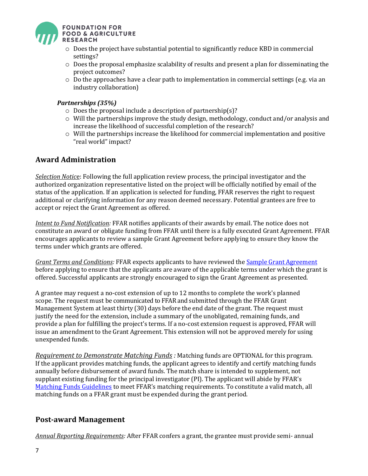

- o Does the project have substantial potential to significantly reduce KBD in commercial settings?
- $\circ$  Does the proposal emphasize scalability of results and present a plan for disseminating the project outcomes?
- $\circ$  Do the approaches have a clear path to implementation in commercial settings (e.g. via an industry collaboration)

#### *Partnerships (35%)*

- o Does the proposal include a description of partnership(s)?
- $\circ$  Will the partnerships improve the study design, methodology, conduct and/or analysis and increase the likelihood of successful completion of the research?
- $\circ$  Will the partnerships increase the likelihood for commercial implementation and positive "real world" impact?

### **Award Administration**

*Selection Notic*e: Following the full application review process, the principal investigator and the authorized organization representative listed on the project will be officially notified by email of the status of the application. If an application is selected for funding, FFAR reserves the right to request additional or clarifying information for any reason deemed necessary. Potential grantees are free to accept or reject the Grant Agreement as offered.

*Intent to Fund Notification:* FFAR notifies applicants of their awards by email. The notice does not constitute an award or obligate funding from FFAR until there is a fully executed Grant Agreement. FFAR encourages applicants to review a sample Grant Agreement before applying to ensure they know the terms under which grants are offered.

*Grant Terms and Conditions:* FFAR expects applicants to have reviewed the [Sample Grant Agreement](https://foundationfar.org/grants-funding/resources/forms-and-examples/) before applying to ensure that the applicants are aware of the applicable terms under which the grant is offered. Successful applicants are strongly encouraged to sign the Grant Agreement as presented.

A grantee may request a no-cost extension of up to 12 months to complete the work's planned scope. The request must be communicated to FFAR and submitted through the FFAR Grant Management System at least thirty (30) days before the end date of the grant. The request must justify the need for the extension, include a summary of the unobligated, remaining funds, and provide a plan for fulfilling the project's terms. If a no-cost extension request is approved, FFAR will issue an amendment to the Grant Agreement. This extension will not be approved merely for using unexpended funds.

*Requirement to Demonstrate Matching Funds :* Matching funds are OPTIONAL for this program. If the applicant provides matching funds, the applicant agrees to identify and certify matching funds annually before disbursement of award funds. The match share is intended to supplement, not supplant existing funding for the principal investigator (PI). The applicant will abide by FFAR's [Matching Funds Guidelines](https://foundationfar.org/grants-funding/resources/matching-funds/) to meet FFAR's matching requirements. To constitute a valid match, all matching funds on a FFAR grant must be expended during the grant period.

### **Post-award Management**

*Annual Reporting Requirements:* After FFAR confers a grant, the grantee must provide semi- annual